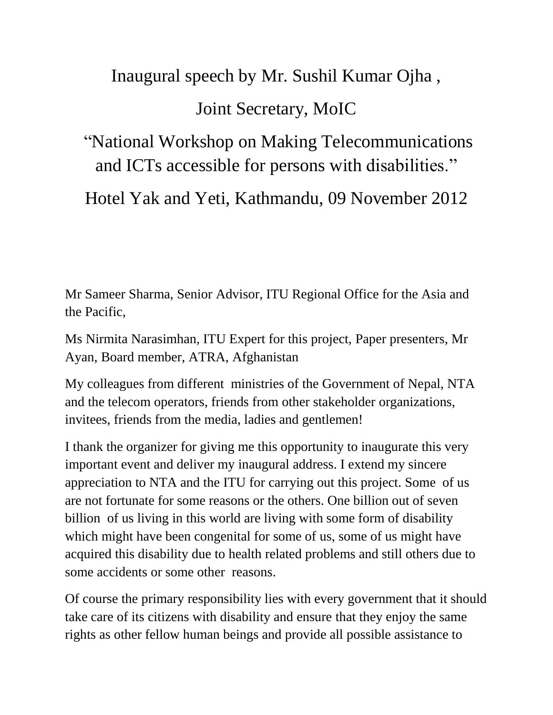## Inaugural speech by Mr. Sushil Kumar Ojha , Joint Secretary, MoIC

"National Workshop on Making Telecommunications and ICTs accessible for persons with disabilities."

Hotel Yak and Yeti, Kathmandu, 09 November 2012

Mr Sameer Sharma, Senior Advisor, ITU Regional Office for the Asia and the Pacific,

Ms Nirmita Narasimhan, ITU Expert for this project, Paper presenters, Mr Ayan, Board member, ATRA, Afghanistan

My colleagues from different ministries of the Government of Nepal, NTA and the telecom operators, friends from other stakeholder organizations, invitees, friends from the media, ladies and gentlemen!

I thank the organizer for giving me this opportunity to inaugurate this very important event and deliver my inaugural address. I extend my sincere appreciation to NTA and the ITU for carrying out this project. Some of us are not fortunate for some reasons or the others. One billion out of seven billion of us living in this world are living with some form of disability which might have been congenital for some of us, some of us might have acquired this disability due to health related problems and still others due to some accidents or some other reasons.

Of course the primary responsibility lies with every government that it should take care of its citizens with disability and ensure that they enjoy the same rights as other fellow human beings and provide all possible assistance to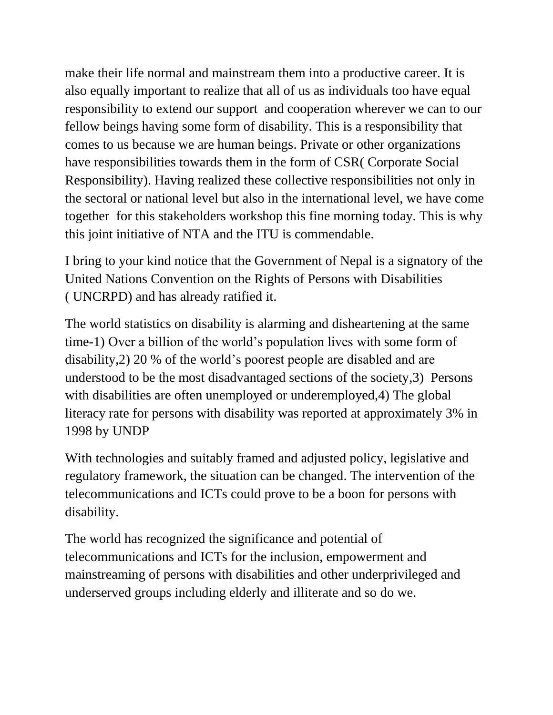make their life normal and mainstream them into a productive career. It is also equally important to realize that all of us as individuals too have equal responsibility to extend our support and cooperation wherever we can to our fellow beings having some form of disability. This is a responsibility that comes to us because we are human beings. Private or other organizations have responsibilities towards them in the form of CSR( Corporate Social Responsibility). Having realized these collective responsibilities not only in the sectoral or national level but also in the international level, we have come together for this stakeholders workshop this fine morning today. This is why this joint initiative of NTA and the ITU is commendable.

I bring to your kind notice that the Government of Nepal is a signatory of the United Nations Convention on the Rights of Persons with Disabilities ( UNCRPD) and has already ratified it.

The world statistics on disability is alarming and disheartening at the same time-1) Over a billion of the world's population lives with some form of disability,2) 20 % of the world's poorest people are disabled and are understood to be the most disadvantaged sections of the society,3) Persons with disabilities are often unemployed or underemployed,4) The global literacy rate for persons with disability was reported at approximately 3% in 1998 by UNDP

With technologies and suitably framed and adjusted policy, legislative and regulatory framework, the situation can be changed. The intervention of the telecommunications and ICTs could prove to be a boon for persons with disability.

The world has recognized the significance and potential of telecommunications and ICTs for the inclusion, empowerment and mainstreaming of persons with disabilities and other underprivileged and underserved groups including elderly and illiterate and so do we.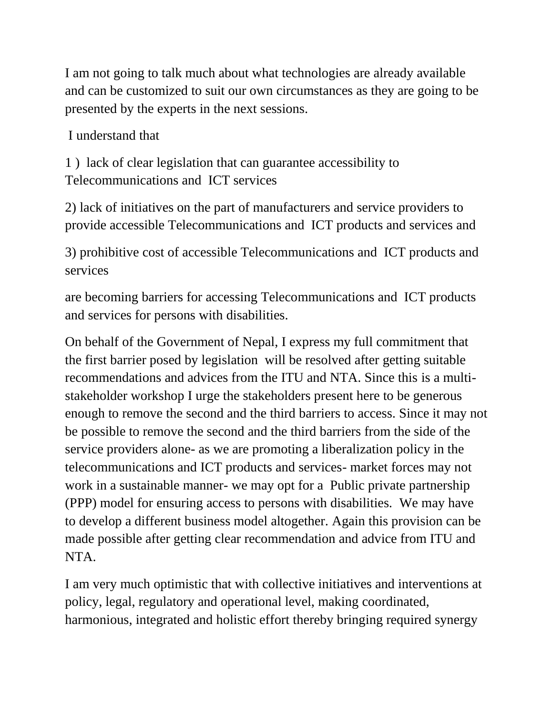I am not going to talk much about what technologies are already available and can be customized to suit our own circumstances as they are going to be presented by the experts in the next sessions.

I understand that

1 ) lack of clear legislation that can guarantee accessibility to Telecommunications and ICT services

2) lack of initiatives on the part of manufacturers and service providers to provide accessible Telecommunications and ICT products and services and

3) prohibitive cost of accessible Telecommunications and ICT products and services

are becoming barriers for accessing Telecommunications and ICT products and services for persons with disabilities.

On behalf of the Government of Nepal, I express my full commitment that the first barrier posed by legislation will be resolved after getting suitable recommendations and advices from the ITU and NTA. Since this is a multistakeholder workshop I urge the stakeholders present here to be generous enough to remove the second and the third barriers to access. Since it may not be possible to remove the second and the third barriers from the side of the service providers alone- as we are promoting a liberalization policy in the telecommunications and ICT products and services- market forces may not work in a sustainable manner- we may opt for a Public private partnership (PPP) model for ensuring access to persons with disabilities. We may have to develop a different business model altogether. Again this provision can be made possible after getting clear recommendation and advice from ITU and NTA.

I am very much optimistic that with collective initiatives and interventions at policy, legal, regulatory and operational level, making coordinated, harmonious, integrated and holistic effort thereby bringing required synergy